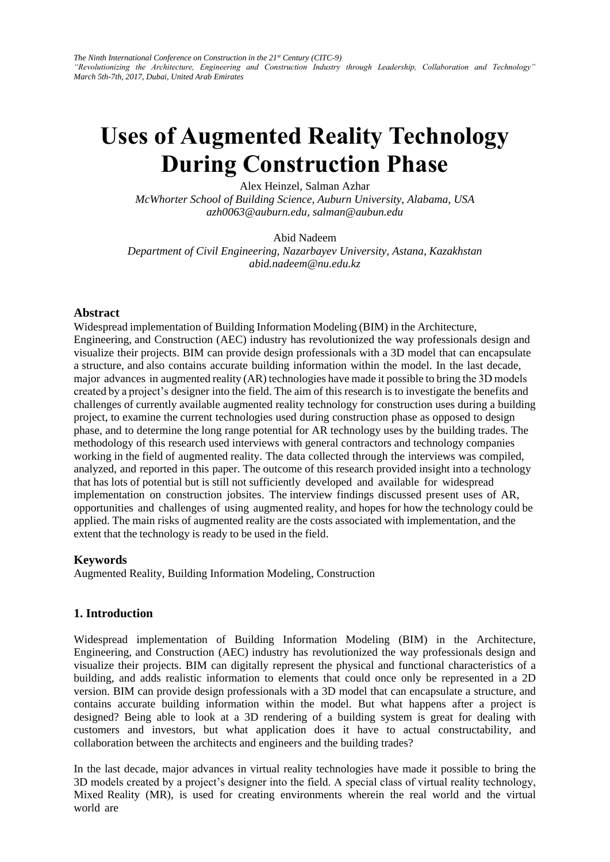# **Uses of Augmented Reality Technology During Construction Phase**

Alex Heinzel, Salman Azhar

*McWhorter School of Building Science, Auburn University, Alabama, USA azh0063@auburn.edu, salman@aubun.edu* 

Abid Nadeem

*Department of Civil Engineering, Nazarbayev University, Astana, Kazakhstan abid.nadeem@nu.edu.kz* 

#### **Abstract**

Widespread implementation of Building Information Modeling (BIM) in the Architecture, Engineering, and Construction (AEC) industry has revolutionized the way professionals design and visualize their projects. BIM can provide design professionals with a 3D model that can encapsulate a structure, and also contains accurate building information within the model. In the last decade, major advances in augmented reality (AR) technologies have made it possible to bring the 3D models created by a project's designer into the field. The aim of this research is to investigate the benefits and challenges of currently available augmented reality technology for construction uses during a building project, to examine the current technologies used during construction phase as opposed to design phase, and to determine the long range potential for AR technology uses by the building trades. The methodology of this research used interviews with general contractors and technology companies working in the field of augmented reality. The data collected through the interviews was compiled, analyzed, and reported in this paper. The outcome of this research provided insight into a technology that has lots of potential but is still not sufficiently developed and available for widespread implementation on construction jobsites. The interview findings discussed present uses of AR, opportunities and challenges of using augmented reality, and hopes for how the technology could be applied. The main risks of augmented reality are the costs associated with implementation, and the extent that the technology is ready to be used in the field.

#### **Keywords**

Augmented Reality, Building Information Modeling, Construction

# **1. Introduction**

Widespread implementation of Building Information Modeling (BIM) in the Architecture, Engineering, and Construction (AEC) industry has revolutionized the way professionals design and visualize their projects. BIM can digitally represent the physical and functional characteristics of a building, and adds realistic information to elements that could once only be represented in a 2D version. BIM can provide design professionals with a 3D model that can encapsulate a structure, and contains accurate building information within the model. But what happens after a project is designed? Being able to look at a 3D rendering of a building system is great for dealing with customers and investors, but what application does it have to actual constructability, and collaboration between the architects and engineers and the building trades?

In the last decade, major advances in virtual reality technologies have made it possible to bring the 3D models created by a project's designer into the field. A special class of virtual reality technology, Mixed Reality (MR), is used for creating environments wherein the real world and the virtual world are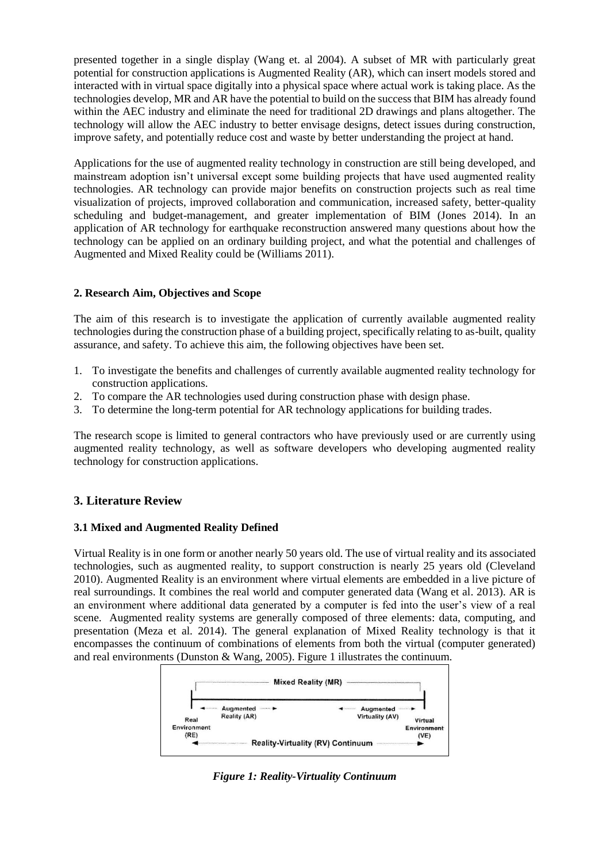presented together in a single display (Wang et. al 2004). A subset of MR with particularly great potential for construction applications is Augmented Reality (AR), which can insert models stored and interacted with in virtual space digitally into a physical space where actual work is taking place. As the technologies develop, MR and AR have the potential to build on the success that BIM has already found within the AEC industry and eliminate the need for traditional 2D drawings and plans altogether. The technology will allow the AEC industry to better envisage designs, detect issues during construction, improve safety, and potentially reduce cost and waste by better understanding the project at hand.

Applications for the use of augmented reality technology in construction are still being developed, and mainstream adoption isn't universal except some building projects that have used augmented reality technologies. AR technology can provide major benefits on construction projects such as real time visualization of projects, improved collaboration and communication, increased safety, better-quality scheduling and budget-management, and greater implementation of BIM (Jones 2014). In an application of AR technology for earthquake reconstruction answered many questions about how the technology can be applied on an ordinary building project, and what the potential and challenges of Augmented and Mixed Reality could be (Williams 2011).

# **2. Research Aim, Objectives and Scope**

The aim of this research is to investigate the application of currently available augmented reality technologies during the construction phase of a building project, specifically relating to as-built, quality assurance, and safety. To achieve this aim, the following objectives have been set.

- 1. To investigate the benefits and challenges of currently available augmented reality technology for construction applications.
- 2. To compare the AR technologies used during construction phase with design phase.
- 3. To determine the long-term potential for AR technology applications for building trades.

The research scope is limited to general contractors who have previously used or are currently using augmented reality technology, as well as software developers who developing augmented reality technology for construction applications.

# **3. Literature Review**

#### **3.1 Mixed and Augmented Reality Defined**

Virtual Reality is in one form or another nearly 50 years old. The use of virtual reality and its associated technologies, such as augmented reality, to support construction is nearly 25 years old (Cleveland 2010). Augmented Reality is an environment where virtual elements are embedded in a live picture of real surroundings. It combines the real world and computer generated data (Wang et al. 2013). AR is an environment where additional data generated by a computer is fed into the user's view of a real scene. Augmented reality systems are generally composed of three elements: data, computing, and presentation (Meza et al. 2014). The general explanation of Mixed Reality technology is that it encompasses the continuum of combinations of elements from both the virtual (computer generated) and real environments (Dunston & Wang, 2005). Figure 1 illustrates the continuum.



*Figure 1: Reality-Virtuality Continuum*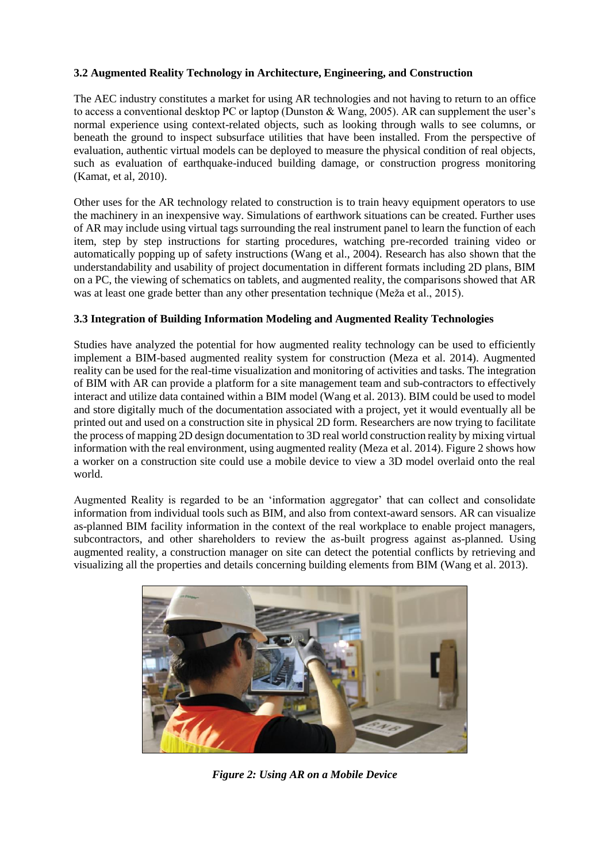# **3.2 Augmented Reality Technology in Architecture, Engineering, and Construction**

The AEC industry constitutes a market for using AR technologies and not having to return to an office to access a conventional desktop PC or laptop (Dunston & Wang, 2005). AR can supplement the user's normal experience using context-related objects, such as looking through walls to see columns, or beneath the ground to inspect subsurface utilities that have been installed. From the perspective of evaluation, authentic virtual models can be deployed to measure the physical condition of real objects, such as evaluation of earthquake-induced building damage, or construction progress monitoring (Kamat, et al, 2010).

Other uses for the AR technology related to construction is to train heavy equipment operators to use the machinery in an inexpensive way. Simulations of earthwork situations can be created. Further uses of AR may include using virtual tags surrounding the real instrument panel to learn the function of each item, step by step instructions for starting procedures, watching pre-recorded training video or automatically popping up of safety instructions (Wang et al., 2004). Research has also shown that the understandability and usability of project documentation in different formats including 2D plans, BIM on a PC, the viewing of schematics on tablets, and augmented reality, the comparisons showed that AR was at least one grade better than any other presentation technique (Meža et al., 2015).

#### **3.3 Integration of Building Information Modeling and Augmented Reality Technologies**

Studies have analyzed the potential for how augmented reality technology can be used to efficiently implement a BIM-based augmented reality system for construction (Meza et al. 2014). Augmented reality can be used for the real-time visualization and monitoring of activities and tasks. The integration of BIM with AR can provide a platform for a site management team and sub-contractors to effectively interact and utilize data contained within a BIM model (Wang et al. 2013). BIM could be used to model and store digitally much of the documentation associated with a project, yet it would eventually all be printed out and used on a construction site in physical 2D form. Researchers are now trying to facilitate the process of mapping 2D design documentation to 3D real world construction reality by mixing virtual information with the real environment, using augmented reality (Meza et al. 2014). Figure 2 shows how a worker on a construction site could use a mobile device to view a 3D model overlaid onto the real world.

Augmented Reality is regarded to be an 'information aggregator' that can collect and consolidate information from individual tools such as BIM, and also from context-award sensors. AR can visualize as-planned BIM facility information in the context of the real workplace to enable project managers, subcontractors, and other shareholders to review the as-built progress against as-planned. Using augmented reality, a construction manager on site can detect the potential conflicts by retrieving and visualizing all the properties and details concerning building elements from BIM (Wang et al. 2013).



*Figure 2: Using AR on a Mobile Device*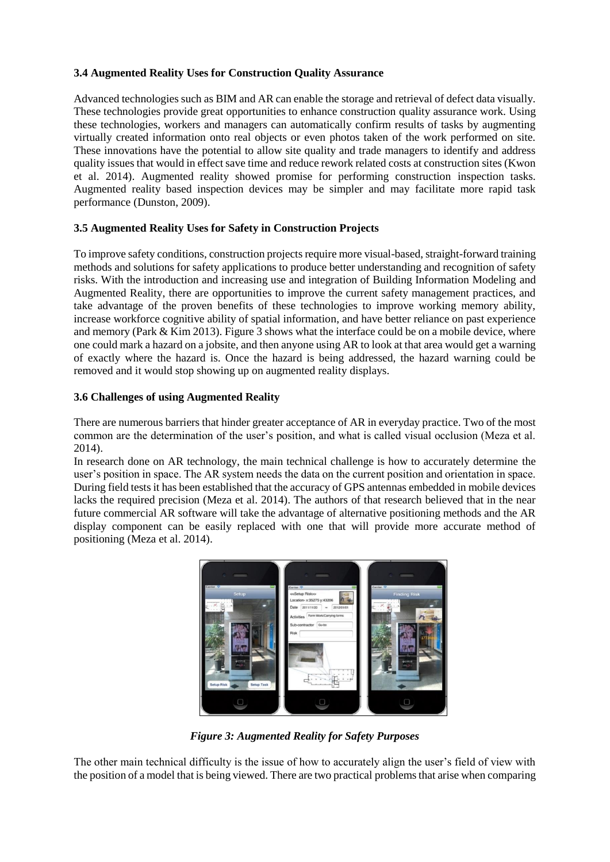# **3.4 Augmented Reality Uses for Construction Quality Assurance**

Advanced technologies such as BIM and AR can enable the storage and retrieval of defect data visually. These technologies provide great opportunities to enhance construction quality assurance work. Using these technologies, workers and managers can automatically confirm results of tasks by augmenting virtually created information onto real objects or even photos taken of the work performed on site. These innovations have the potential to allow site quality and trade managers to identify and address quality issues that would in effect save time and reduce rework related costs at construction sites (Kwon et al. 2014). Augmented reality showed promise for performing construction inspection tasks. Augmented reality based inspection devices may be simpler and may facilitate more rapid task performance (Dunston, 2009).

# **3.5 Augmented Reality Uses for Safety in Construction Projects**

To improve safety conditions, construction projects require more visual-based, straight-forward training methods and solutions for safety applications to produce better understanding and recognition of safety risks. With the introduction and increasing use and integration of Building Information Modeling and Augmented Reality, there are opportunities to improve the current safety management practices, and take advantage of the proven benefits of these technologies to improve working memory ability, increase workforce cognitive ability of spatial information, and have better reliance on past experience and memory (Park & Kim 2013). Figure 3 shows what the interface could be on a mobile device, where one could mark a hazard on a jobsite, and then anyone using AR to look at that area would get a warning of exactly where the hazard is. Once the hazard is being addressed, the hazard warning could be removed and it would stop showing up on augmented reality displays.

# **3.6 Challenges of using Augmented Reality**

There are numerous barriers that hinder greater acceptance of AR in everyday practice. Two of the most common are the determination of the user's position, and what is called visual occlusion (Meza et al. 2014).

In research done on AR technology, the main technical challenge is how to accurately determine the user's position in space. The AR system needs the data on the current position and orientation in space. During field tests it has been established that the accuracy of GPS antennas embedded in mobile devices lacks the required precision (Meza et al. 2014). The authors of that research believed that in the near future commercial AR software will take the advantage of alternative positioning methods and the AR display component can be easily replaced with one that will provide more accurate method of positioning (Meza et al. 2014).



*Figure 3: Augmented Reality for Safety Purposes*

The other main technical difficulty is the issue of how to accurately align the user's field of view with the position of a model that is being viewed. There are two practical problems that arise when comparing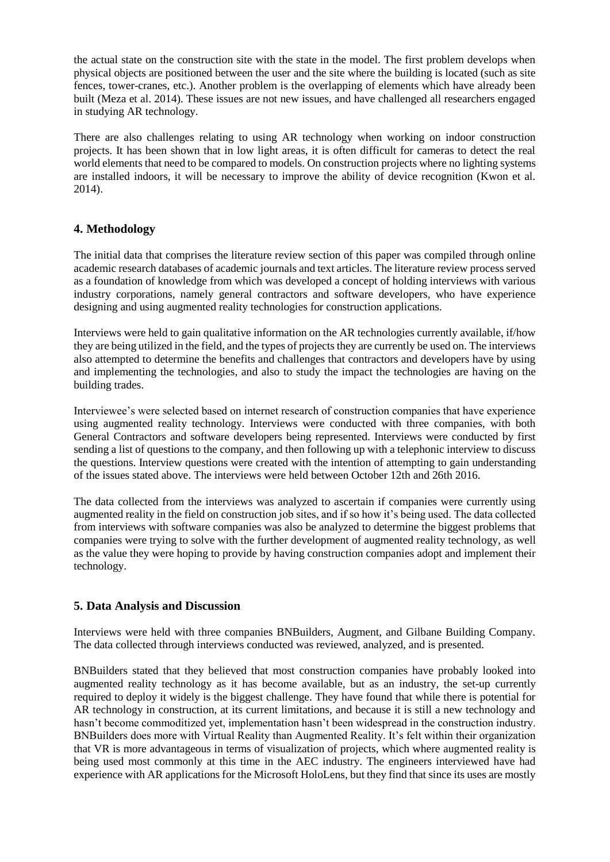the actual state on the construction site with the state in the model. The first problem develops when physical objects are positioned between the user and the site where the building is located (such as site fences, tower-cranes, etc.). Another problem is the overlapping of elements which have already been built (Meza et al. 2014). These issues are not new issues, and have challenged all researchers engaged in studying AR technology.

There are also challenges relating to using AR technology when working on indoor construction projects. It has been shown that in low light areas, it is often difficult for cameras to detect the real world elements that need to be compared to models. On construction projects where no lighting systems are installed indoors, it will be necessary to improve the ability of device recognition (Kwon et al. 2014).

# **4. Methodology**

The initial data that comprises the literature review section of this paper was compiled through online academic research databases of academic journals and text articles. The literature review process served as a foundation of knowledge from which was developed a concept of holding interviews with various industry corporations, namely general contractors and software developers, who have experience designing and using augmented reality technologies for construction applications.

Interviews were held to gain qualitative information on the AR technologies currently available, if/how they are being utilized in the field, and the types of projects they are currently be used on. The interviews also attempted to determine the benefits and challenges that contractors and developers have by using and implementing the technologies, and also to study the impact the technologies are having on the building trades.

Interviewee's were selected based on internet research of construction companies that have experience using augmented reality technology. Interviews were conducted with three companies, with both General Contractors and software developers being represented. Interviews were conducted by first sending a list of questions to the company, and then following up with a telephonic interview to discuss the questions. Interview questions were created with the intention of attempting to gain understanding of the issues stated above. The interviews were held between October 12th and 26th 2016.

The data collected from the interviews was analyzed to ascertain if companies were currently using augmented reality in the field on construction job sites, and if so how it's being used. The data collected from interviews with software companies was also be analyzed to determine the biggest problems that companies were trying to solve with the further development of augmented reality technology, as well as the value they were hoping to provide by having construction companies adopt and implement their technology.

# **5. Data Analysis and Discussion**

Interviews were held with three companies BNBuilders, Augment, and Gilbane Building Company. The data collected through interviews conducted was reviewed, analyzed, and is presented.

BNBuilders stated that they believed that most construction companies have probably looked into augmented reality technology as it has become available, but as an industry, the set-up currently required to deploy it widely is the biggest challenge. They have found that while there is potential for AR technology in construction, at its current limitations, and because it is still a new technology and hasn't become commoditized yet, implementation hasn't been widespread in the construction industry. BNBuilders does more with Virtual Reality than Augmented Reality. It's felt within their organization that VR is more advantageous in terms of visualization of projects, which where augmented reality is being used most commonly at this time in the AEC industry. The engineers interviewed have had experience with AR applications for the Microsoft HoloLens, but they find that since its uses are mostly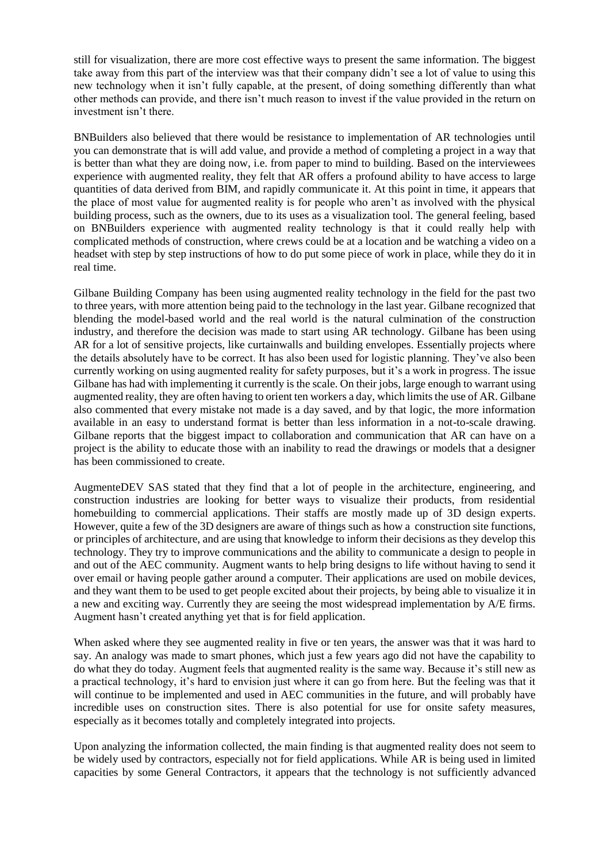still for visualization, there are more cost effective ways to present the same information. The biggest take away from this part of the interview was that their company didn't see a lot of value to using this new technology when it isn't fully capable, at the present, of doing something differently than what other methods can provide, and there isn't much reason to invest if the value provided in the return on investment isn't there.

BNBuilders also believed that there would be resistance to implementation of AR technologies until you can demonstrate that is will add value, and provide a method of completing a project in a way that is better than what they are doing now, i.e. from paper to mind to building. Based on the interviewees experience with augmented reality, they felt that AR offers a profound ability to have access to large quantities of data derived from BIM, and rapidly communicate it. At this point in time, it appears that the place of most value for augmented reality is for people who aren't as involved with the physical building process, such as the owners, due to its uses as a visualization tool. The general feeling, based on BNBuilders experience with augmented reality technology is that it could really help with complicated methods of construction, where crews could be at a location and be watching a video on a headset with step by step instructions of how to do put some piece of work in place, while they do it in real time.

Gilbane Building Company has been using augmented reality technology in the field for the past two to three years, with more attention being paid to the technology in the last year. Gilbane recognized that blending the model-based world and the real world is the natural culmination of the construction industry, and therefore the decision was made to start using AR technology. Gilbane has been using AR for a lot of sensitive projects, like curtainwalls and building envelopes. Essentially projects where the details absolutely have to be correct. It has also been used for logistic planning. They've also been currently working on using augmented reality for safety purposes, but it's a work in progress. The issue Gilbane has had with implementing it currently is the scale. On their jobs, large enough to warrant using augmented reality, they are often having to orient ten workers a day, which limits the use of AR. Gilbane also commented that every mistake not made is a day saved, and by that logic, the more information available in an easy to understand format is better than less information in a not-to-scale drawing. Gilbane reports that the biggest impact to collaboration and communication that AR can have on a project is the ability to educate those with an inability to read the drawings or models that a designer has been commissioned to create.

AugmenteDEV SAS stated that they find that a lot of people in the architecture, engineering, and construction industries are looking for better ways to visualize their products, from residential homebuilding to commercial applications. Their staffs are mostly made up of 3D design experts. However, quite a few of the 3D designers are aware of things such as how a construction site functions, or principles of architecture, and are using that knowledge to inform their decisions as they develop this technology. They try to improve communications and the ability to communicate a design to people in and out of the AEC community. Augment wants to help bring designs to life without having to send it over email or having people gather around a computer. Their applications are used on mobile devices, and they want them to be used to get people excited about their projects, by being able to visualize it in a new and exciting way. Currently they are seeing the most widespread implementation by A/E firms. Augment hasn't created anything yet that is for field application.

When asked where they see augmented reality in five or ten years, the answer was that it was hard to say. An analogy was made to smart phones, which just a few years ago did not have the capability to do what they do today. Augment feels that augmented reality is the same way. Because it's still new as a practical technology, it's hard to envision just where it can go from here. But the feeling was that it will continue to be implemented and used in AEC communities in the future, and will probably have incredible uses on construction sites. There is also potential for use for onsite safety measures, especially as it becomes totally and completely integrated into projects.

Upon analyzing the information collected, the main finding is that augmented reality does not seem to be widely used by contractors, especially not for field applications. While AR is being used in limited capacities by some General Contractors, it appears that the technology is not sufficiently advanced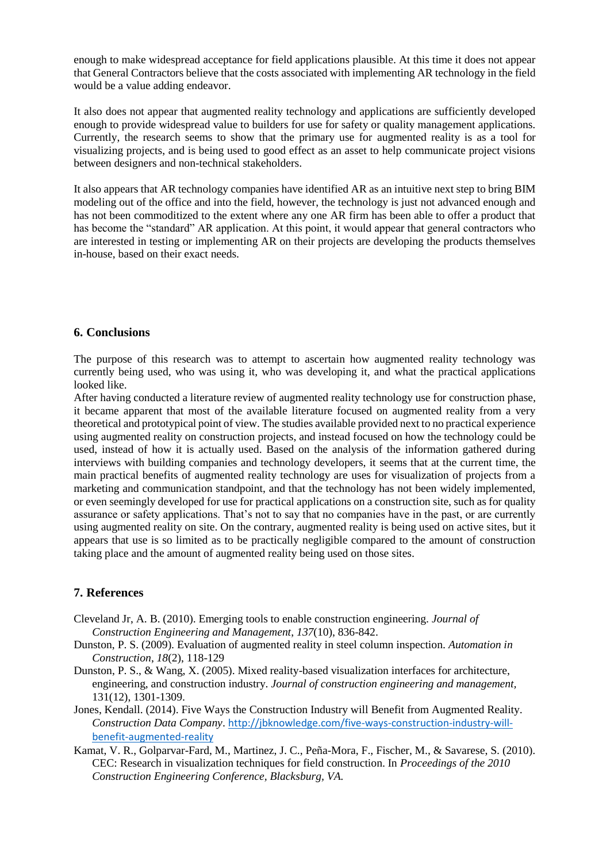enough to make widespread acceptance for field applications plausible. At this time it does not appear that General Contractors believe that the costs associated with implementing AR technology in the field would be a value adding endeavor.

It also does not appear that augmented reality technology and applications are sufficiently developed enough to provide widespread value to builders for use for safety or quality management applications. Currently, the research seems to show that the primary use for augmented reality is as a tool for visualizing projects, and is being used to good effect as an asset to help communicate project visions between designers and non-technical stakeholders.

It also appears that AR technology companies have identified AR as an intuitive next step to bring BIM modeling out of the office and into the field, however, the technology is just not advanced enough and has not been commoditized to the extent where any one AR firm has been able to offer a product that has become the "standard" AR application. At this point, it would appear that general contractors who are interested in testing or implementing AR on their projects are developing the products themselves in-house, based on their exact needs.

#### **6. Conclusions**

The purpose of this research was to attempt to ascertain how augmented reality technology was currently being used, who was using it, who was developing it, and what the practical applications looked like.

After having conducted a literature review of augmented reality technology use for construction phase, it became apparent that most of the available literature focused on augmented reality from a very theoretical and prototypical point of view. The studies available provided next to no practical experience using augmented reality on construction projects, and instead focused on how the technology could be used, instead of how it is actually used. Based on the analysis of the information gathered during interviews with building companies and technology developers, it seems that at the current time, the main practical benefits of augmented reality technology are uses for visualization of projects from a marketing and communication standpoint, and that the technology has not been widely implemented, or even seemingly developed for use for practical applications on a construction site, such as for quality assurance or safety applications. That's not to say that no companies have in the past, or are currently using augmented reality on site. On the contrary, augmented reality is being used on active sites, but it appears that use is so limited as to be practically negligible compared to the amount of construction taking place and the amount of augmented reality being used on those sites.

# **7. References**

- Cleveland Jr, A. B. (2010). Emerging tools to enable construction engineering. *Journal of Construction Engineering and Management*, *137*(10), 836-842.
- Dunston, P. S. (2009). Evaluation of augmented reality in steel column inspection. *Automation in Construction*, *18*(2), 118-129
- Dunston, P. S., & Wang, X. (2005). Mixed reality-based visualization interfaces for architecture, engineering, and construction industry. *Journal of construction engineering and management,* 131(12), 1301-1309.
- Jones, Kendall. (2014). Five Ways the Construction Industry will Benefit from Augmented Reality. *Construction Data Company*. [http://jbknowledge.com/five-ways-construction-industry-will](http://jbknowledge.com/five-ways-construction-industry-will-benefit-augmented-reality)[benefit-augmented-reality](http://jbknowledge.com/five-ways-construction-industry-will-benefit-augmented-reality)
- Kamat, V. R., Golparvar-Fard, M., Martinez, J. C., Peña-Mora, F., Fischer, M., & Savarese, S. (2010). CEC: Research in visualization techniques for field construction. In *Proceedings of the 2010 Construction Engineering Conference, Blacksburg, VA.*